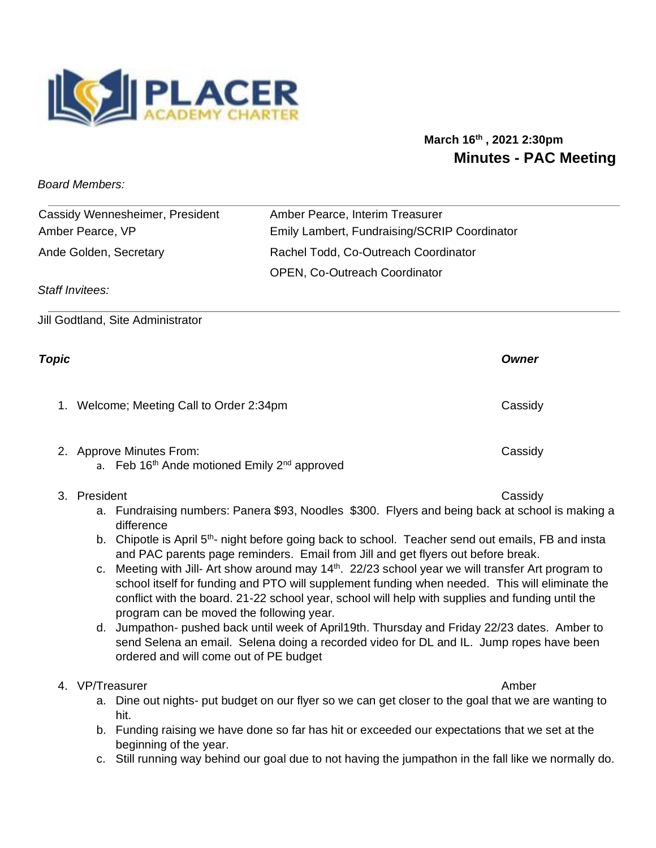

## **March 16th , 2021 2:30pm Minutes - PAC Meeting**

*Board Members:* 

| Cassidy Wennesheimer, President | Amber Pearce, Interim Treasurer              |
|---------------------------------|----------------------------------------------|
| Amber Pearce, VP                | Emily Lambert, Fundraising/SCRIP Coordinator |
| Ande Golden, Secretary          | Rachel Todd, Co-Outreach Coordinator         |
|                                 | <b>OPEN, Co-Outreach Coordinator</b>         |

*Staff Invitees:* 

Jill Godtland, Site Administrator

## *Topic Owner*

- 1. Welcome; Meeting Call to Order 2:34pm cassidy cassidy
- 2. Approve Minutes From: Cassidy
	- a. Feb 16<sup>th</sup> Ande motioned Emily 2<sup>nd</sup> approved

## 3. President Cassidy

- a. Fundraising numbers: Panera \$93, Noodles \$300. Flyers and being back at school is making a difference
- b. Chipotle is April 5<sup>th</sup>- night before going back to school. Teacher send out emails, FB and insta and PAC parents page reminders. Email from Jill and get flyers out before break.
- c. Meeting with Jill- Art show around may  $14<sup>th</sup>$ . 22/23 school year we will transfer Art program to school itself for funding and PTO will supplement funding when needed. This will eliminate the conflict with the board. 21-22 school year, school will help with supplies and funding until the program can be moved the following year.
- d. Jumpathon- pushed back until week of April19th. Thursday and Friday 22/23 dates. Amber to send Selena an email. Selena doing a recorded video for DL and IL. Jump ropes have been ordered and will come out of PE budget
- 4. VP/Treasurer Amber Amber Amber Amber Amber Amber Amber Amber Amber Amber Amber Amber Amber Amber Amber Amber
	- a. Dine out nights- put budget on our flyer so we can get closer to the goal that we are wanting to hit.
	- b. Funding raising we have done so far has hit or exceeded our expectations that we set at the beginning of the year.
	- c. Still running way behind our goal due to not having the jumpathon in the fall like we normally do.